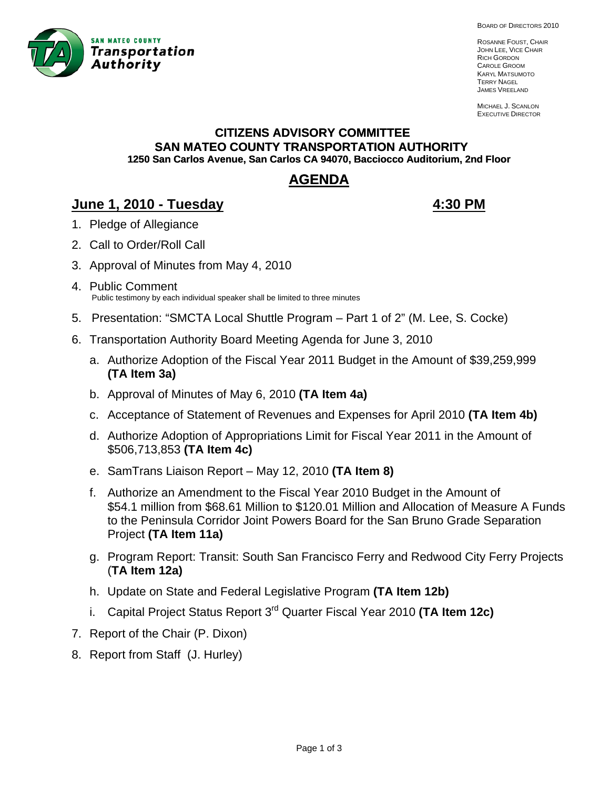

BOARD OF DIRECTORS 2010

ROSANNE FOUST, CHAIR JOHN LEE, VICE CHAIR RICH GORDON CAROLE GROOM KARYL MATSUMOTO TERRY NAGEL JAMES VREELAND

MICHAEL J. SCANLON EXECUTIVE DIRECTOR

# **CITIZENS ADVISORY COMMITTEE SAN MATEO COUNTY TRANSPORTATION AUTHORITY 1250 San Carlos Avenue, San Carlos CA 94070, Bacciocco Auditorium, 2nd Floor**

# **AGENDA**

# **June 1, 2010 - Tuesday 4:30 PM**

- 1. Pledge of Allegiance
- 2. Call to Order/Roll Call
- 3. A pproval of Minutes from May 4, 2010
- 4. Public Comment Public testimony by each individual speaker shall be limited to three minutes
- 5. Presentation: "SMCTA Local Shuttle Program Part 1 of 2" (M. Lee, S. Cocke)
- 6. Transportation Authority Board Meeting Agenda for June 3, 2010
	- a. Authorize Adoption of the Fiscal Year 2011 Budget in the Amount of \$39,259,999 **(TA Item 3a)**
	- b. Approval of Minutes of May 6, 2010 **(TA Item 4a)**
	- c. Acceptance of Statement of Revenues and Expenses for April 2010 **(TA Item 4b)**
	- d. Authorize Adoption of Appropriations Limit for Fiscal Year 2011 in the Amount of \$506,713,853 **(TA Item 4c)**
	- e. SamTrans Liaison Report May 12, 2010 (TA Item 8)
	- f. Authorize an Amendment to the Fiscal Year 2010 Budget in the Amount of \$54.1 million from \$68.61 Million to \$120.01 Million and Allocation of Measure A Funds to the Peninsula Corridor Joint Powers Board for the San Bruno Grade Separation Project **(TA Item 11a)**
	- g. Program Report: Transit: South San Francisco Ferry and Redwood City Ferry Projects (**TA Item 12a)**
	- h. Update on State and Federal Legislative Program **(TA Item 12b)**
	- i. Capital Project Status Report 3rd Quarter Fiscal Year 2010 **(TA Item 12c)**
- 7. Report of the Chair (P. Dixon)
- 8. Report from Staff (J. Hurley)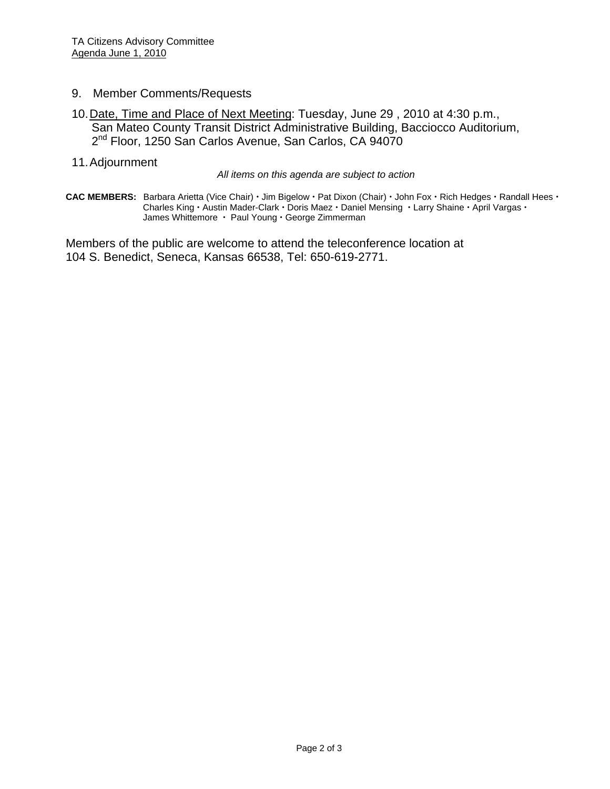- 9. Member Comments/Requests
- 10. Date, Time and Place of Next Meeting: Tuesday, June 29 , 2010 at 4:30 p.m., San Mateo County Transit District Administrative Building, Bacciocco Auditorium, 2<sup>nd</sup> Floor, 1250 San Carlos Avenue, San Carlos, CA 94070
- 11. Adjournment

*All items on this agenda are subject to action* 

CAC MEMBERS: Barbara Arietta (Vice Chair) · Jim Bigelow · Pat Dixon (Chair) · John Fox · Rich Hedges · Randall Hees · **Charles King · Austin Mader-Clark · Doris Maez · Daniel Mensing · Larry Shaine · April Vargas ·** James Whittemore  $\cdot$  Paul Young  $\cdot$  George Zimmerman

Members of the public are welcome to attend the teleconference location at 104 S. Benedict, Seneca, Kansas 66538, Tel: 650-619-2771.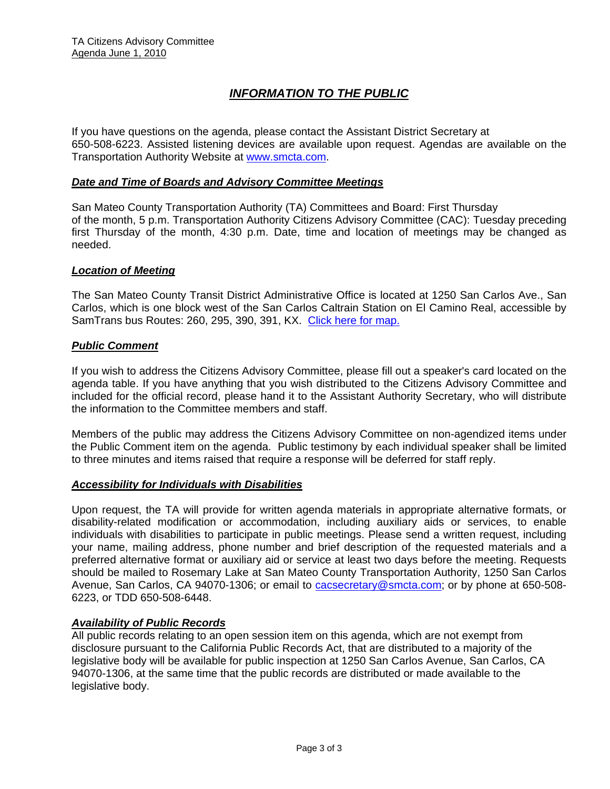# *INFORMATION TO THE PUBLIC*

If you have questions on the agenda, please contact the Assistant District Secretary at 650-508-6223. Assisted listening devices are available upon request. Agendas are available on the Transportation Authority Website at [www.smcta.com.](http://www.smcta.com/)

#### *Date and Time of Boards and Advisory Committee Meetings*

San Mateo County Transportation Authority (TA) Committees and Board: First Thursday of the month, 5 p.m. Transportation Authority Citizens Advisory Committee (CAC): Tuesday preceding first Thursday of the month, 4:30 p.m. Date, time and location of meetings may be changed as needed.

#### *Location of Meeting*

The San Mateo County Transit District Administrative Office is located at 1250 San Carlos Ave., San Carlos, which is one block west of the San Carlos Caltrain Station on El Camino Real, accessible by SamTrans bus Routes: 260, 295, 390, 391, KX. [Click here for map.](http://maps.google.com/maps?f=q&hl=en&geocode=&q=1250+San+Carlos+Ave,+San+Carlos,+CA+94070&sll=37.0625,-95.677068&sspn=33.077336,56.25&ie=UTF8&ll=37.507394,-122.261996&spn=0.008085,0.013733&z=16)

#### *Public Comment*

If you wish to address the Citizens Advisory Committee, please fill out a speaker's card located on the agenda table. If you have anything that you wish distributed to the Citizens Advisory Committee and included for the official record, please hand it to the Assistant Authority Secretary, who will distribute the information to the Committee members and staff.

Members of the public may address the Citizens Advisory Committee on non-agendized items under the Public Comment item on the agenda. Public testimony by each individual speaker shall be limited to three minutes and items raised that require a response will be deferred for staff reply.

#### *Accessibility for Individuals with Disabilities*

Upon request, the TA will provide for written agenda materials in appropriate alternative formats, or disability-related modification or accommodation, including auxiliary aids or services, to enable individuals with disabilities to participate in public meetings. Please send a written request, including your name, mailing address, phone number and brief description of the requested materials and a preferred alternative format or auxiliary aid or service at least two days before the meeting. Requests should be mailed to Rosemary Lake at San Mateo County Transportation Authority, 1250 San Carlos Avenue, San Carlos, CA 94070-1306; or email to **[cacsecretary@smcta.com](mailto:cacsecretary@smcta.com)**; or by phone at 650-508-6223, or TDD 650-508-6448.

#### *Availability of Public Records*

All public records relating to an open session item on this agenda, which are not exempt from disclosure pursuant to the California Public Records Act, that are distributed to a majority of the legislative body will be available for public inspection at 1250 San Carlos Avenue, San Carlos, CA 94070-1306, at the same time that the public records are distributed or made available to the legislative body.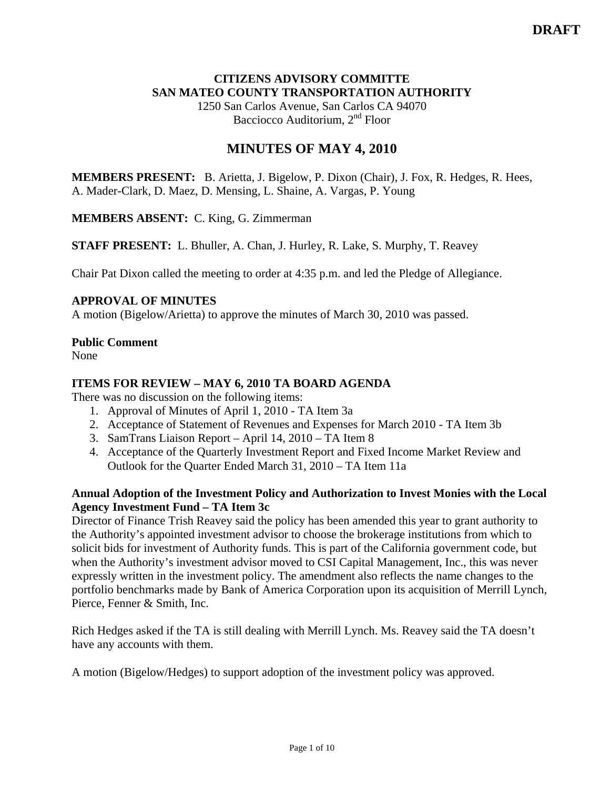### **CITIZENS ADVISORY COMMITTE SAN MATEO COUNTY TRANSPORTATION AUTHORITY**

1250 San Carlos Avenue, San Carlos CA 94070 Bacciocco Auditorium, 2<sup>nd</sup> Floor

# **MINUTES OF MAY 4, 2010**

**MEMBERS PRESENT:** B. Arietta, J. Bigelow, P. Dixon (Chair), J. Fox, R. Hedges, R. Hees, A. Mader-Clark, D. Maez, D. Mensing, L. Shaine, A. Vargas, P. Young

**MEMBERS ABSENT:** C. King, G. Zimmerman

**STAFF PRESENT:** L. Bhuller, A. Chan, J. Hurley, R. Lake, S. Murphy, T. Reavey

Chair Pat Dixon called the meeting to order at 4:35 p.m. and led the Pledge of Allegiance.

#### **APPROVAL OF MINUTES**

A motion (Bigelow/Arietta) to approve the minutes of March 30, 2010 was passed.

#### **Public Comment**

None

#### **ITEMS FOR REVIEW – MAY 6, 2010 TA BOARD AGENDA**

There was no discussion on the following items:

- 1. Approval of Minutes of April 1, 2010 TA Item 3a
- 2. Acceptance of Statement of Revenues and Expenses for March 2010 TA Item 3b
- 3. SamTrans Liaison Report April 14, 2010 TA Item 8
- 4. Acceptance of the Quarterly Investment Report and Fixed Income Market Review and Outlook for the Quarter Ended March 31, 2010 – TA Item 11a

#### **Annual Adoption of the Investment Policy and Authorization to Invest Monies with the Local Agency Investment Fund – TA Item 3c**

Director of Finance Trish Reavey said the policy has been amended this year to grant authority to the Authority's appointed investment advisor to choose the brokerage institutions from which to solicit bids for investment of Authority funds. This is part of the California government code, but when the Authority's investment advisor moved to CSI Capital Management, Inc., this was never expressly written in the investment policy. The amendment also reflects the name changes to the portfolio benchmarks made by Bank of America Corporation upon its acquisition of Merrill Lynch, Pierce, Fenner & Smith, Inc.

Rich Hedges asked if the TA is still dealing with Merrill Lynch. Ms. Reavey said the TA doesn't have any accounts with them.

A motion (Bigelow/Hedges) to support adoption of the investment policy was approved.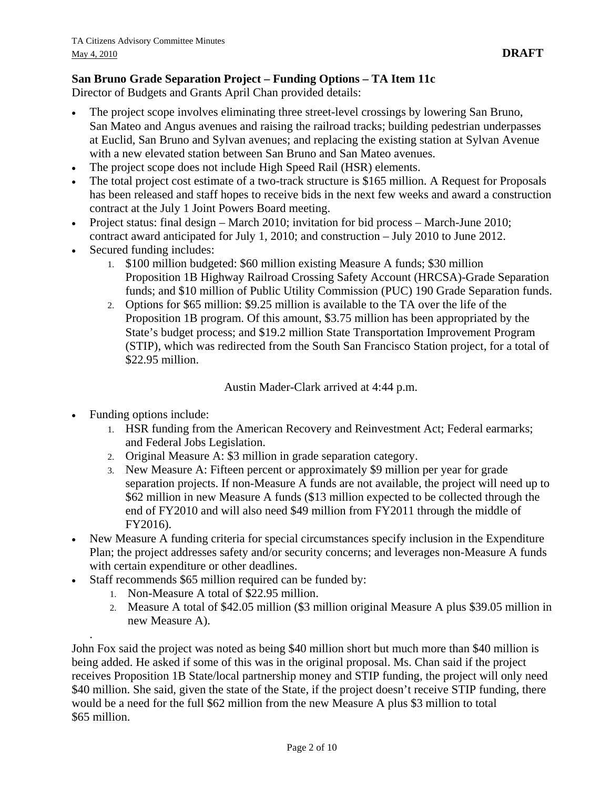# **San Bruno Grade Separation Project – Funding Options – TA Item 11c**

Director of Budgets and Grants April Chan provided details:

- The project scope involves eliminating three street-level crossings by lowering San Bruno, San Mateo and Angus avenues and raising the railroad tracks; building pedestrian underpasses at Euclid, San Bruno and Sylvan avenues; and replacing the existing station at Sylvan Avenue with a new elevated station between San Bruno and San Mateo avenues.
- The project scope does not include High Speed Rail (HSR) elements.
- The total project cost estimate of a two-track structure is \$165 million. A Request for Proposals has been released and staff hopes to receive bids in the next few weeks and award a construction contract at the July 1 Joint Powers Board meeting.
- Project status: final design March 2010; invitation for bid process March-June 2010; contract award anticipated for July 1, 2010; and construction – July 2010 to June 2012.
- Secured funding includes:
	- 1. \$100 million budgeted: \$60 million existing Measure A funds; \$30 million Proposition 1B Highway Railroad Crossing Safety Account (HRCSA)-Grade Separation funds; and \$10 million of Public Utility Commission (PUC) 190 Grade Separation funds.
	- 2. Options for \$65 million: \$9.25 million is available to the TA over the life of the Proposition 1B program. Of this amount, \$3.75 million has been appropriated by the State's budget process; and \$19.2 million State Transportation Improvement Program (STIP), which was redirected from the South San Francisco Station project, for a total of \$22.95 million.

Austin Mader-Clark arrived at 4:44 p.m.

• Funding options include:

.

- 1. HSR funding from the American Recovery and Reinvestment Act; Federal earmarks; and Federal Jobs Legislation.
- 2. Original Measure A: \$3 million in grade separation category.
- 3. New Measure A: Fifteen percent or approximately \$9 million per year for grade separation projects. If non-Measure A funds are not available, the project will need up to \$62 million in new Measure A funds (\$13 million expected to be collected through the end of FY2010 and will also need \$49 million from FY2011 through the middle of FY2016).
- New Measure A funding criteria for special circumstances specify inclusion in the Expenditure Plan; the project addresses safety and/or security concerns; and leverages non-Measure A funds with certain expenditure or other deadlines.
- Staff recommends \$65 million required can be funded by:
	- 1. Non-Measure A total of \$22.95 million.
	- 2. Measure A total of \$42.05 million (\$3 million original Measure A plus \$39.05 million in new Measure A).

John Fox said the project was noted as being \$40 million short but much more than \$40 million is being added. He asked if some of this was in the original proposal. Ms. Chan said if the project receives Proposition 1B State/local partnership money and STIP funding, the project will only need \$40 million. She said, given the state of the State, if the project doesn't receive STIP funding, there would be a need for the full \$62 million from the new Measure A plus \$3 million to total \$65 million.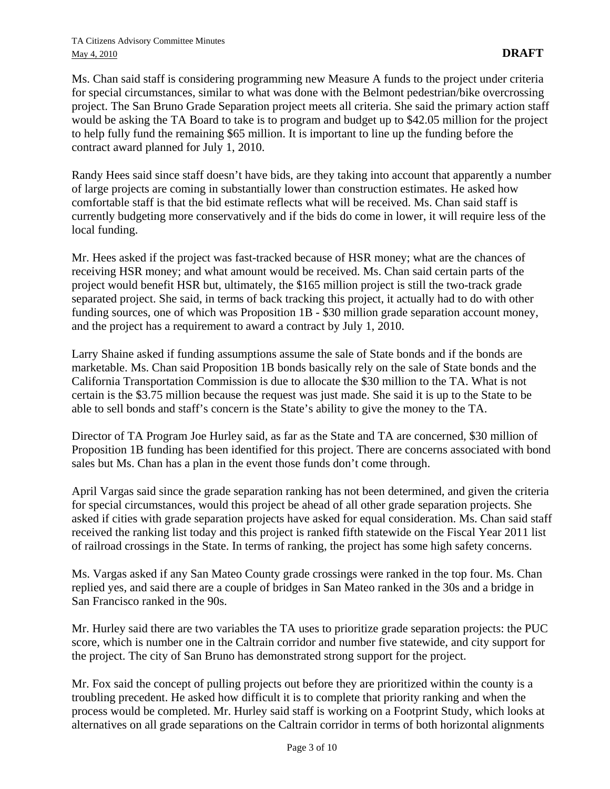Ms. Chan said staff is considering programming new Measure A funds to the project under criteria for special circumstances, similar to what was done with the Belmont pedestrian/bike overcrossing project. The San Bruno Grade Separation project meets all criteria. She said the primary action staff would be asking the TA Board to take is to program and budget up to \$42.05 million for the project to help fully fund the remaining \$65 million. It is important to line up the funding before the contract award planned for July 1, 2010.

Randy Hees said since staff doesn't have bids, are they taking into account that apparently a number of large projects are coming in substantially lower than construction estimates. He asked how comfortable staff is that the bid estimate reflects what will be received. Ms. Chan said staff is currently budgeting more conservatively and if the bids do come in lower, it will require less of the local funding.

Mr. Hees asked if the project was fast-tracked because of HSR money; what are the chances of receiving HSR money; and what amount would be received. Ms. Chan said certain parts of the project would benefit HSR but, ultimately, the \$165 million project is still the two-track grade separated project. She said, in terms of back tracking this project, it actually had to do with other funding sources, one of which was Proposition 1B - \$30 million grade separation account money, and the project has a requirement to award a contract by July 1, 2010.

Larry Shaine asked if funding assumptions assume the sale of State bonds and if the bonds are marketable. Ms. Chan said Proposition 1B bonds basically rely on the sale of State bonds and the California Transportation Commission is due to allocate the \$30 million to the TA. What is not certain is the \$3.75 million because the request was just made. She said it is up to the State to be able to sell bonds and staff's concern is the State's ability to give the money to the TA.

Director of TA Program Joe Hurley said, as far as the State and TA are concerned, \$30 million of Proposition 1B funding has been identified for this project. There are concerns associated with bond sales but Ms. Chan has a plan in the event those funds don't come through.

April Vargas said since the grade separation ranking has not been determined, and given the criteria for special circumstances, would this project be ahead of all other grade separation projects. She asked if cities with grade separation projects have asked for equal consideration. Ms. Chan said staff received the ranking list today and this project is ranked fifth statewide on the Fiscal Year 2011 list of railroad crossings in the State. In terms of ranking, the project has some high safety concerns.

Ms. Vargas asked if any San Mateo County grade crossings were ranked in the top four. Ms. Chan replied yes, and said there are a couple of bridges in San Mateo ranked in the 30s and a bridge in San Francisco ranked in the 90s.

Mr. Hurley said there are two variables the TA uses to prioritize grade separation projects: the PUC score, which is number one in the Caltrain corridor and number five statewide, and city support for the project. The city of San Bruno has demonstrated strong support for the project.

Mr. Fox said the concept of pulling projects out before they are prioritized within the county is a troubling precedent. He asked how difficult it is to complete that priority ranking and when the process would be completed. Mr. Hurley said staff is working on a Footprint Study, which looks at alternatives on all grade separations on the Caltrain corridor in terms of both horizontal alignments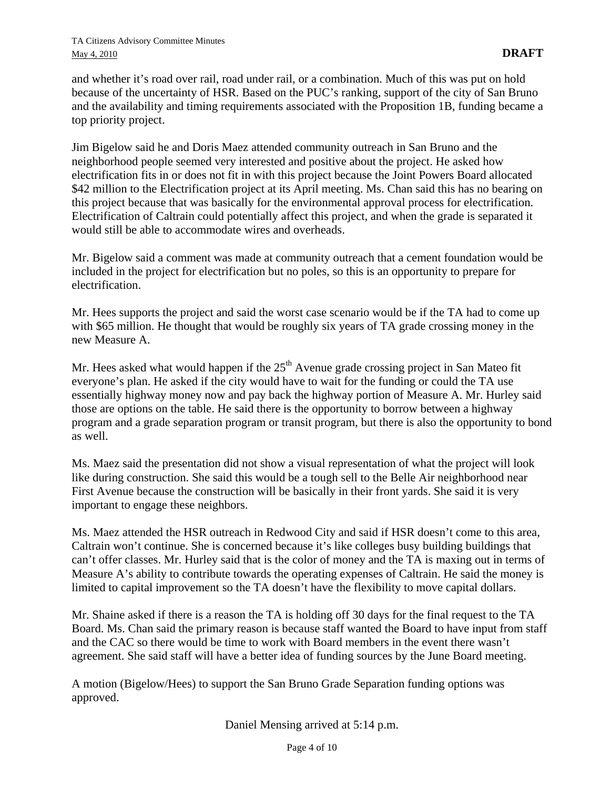and whether it's road over rail, road under rail, or a combination. Much of this was put on hold because of the uncertainty of HSR. Based on the PUC's ranking, support of the city of San Bruno and the availability and timing requirements associated with the Proposition 1B, funding became a top priority project.

Jim Bigelow said he and Doris Maez attended community outreach in San Bruno and the neighborhood people seemed very interested and positive about the project. He asked how electrification fits in or does not fit in with this project because the Joint Powers Board allocated \$42 million to the Electrification project at its April meeting. Ms. Chan said this has no bearing on this project because that was basically for the environmental approval process for electrification. Electrification of Caltrain could potentially affect this project, and when the grade is separated it would still be able to accommodate wires and overheads.

Mr. Bigelow said a comment was made at community outreach that a cement foundation would be included in the project for electrification but no poles, so this is an opportunity to prepare for electrification.

Mr. Hees supports the project and said the worst case scenario would be if the TA had to come up with \$65 million. He thought that would be roughly six years of TA grade crossing money in the new Measure A.

Mr. Hees asked what would happen if the  $25<sup>th</sup>$  Avenue grade crossing project in San Mateo fit everyone's plan. He asked if the city would have to wait for the funding or could the TA use essentially highway money now and pay back the highway portion of Measure A. Mr. Hurley said those are options on the table. He said there is the opportunity to borrow between a highway program and a grade separation program or transit program, but there is also the opportunity to bond as well.

Ms. Maez said the presentation did not show a visual representation of what the project will look like during construction. She said this would be a tough sell to the Belle Air neighborhood near First Avenue because the construction will be basically in their front yards. She said it is very important to engage these neighbors.

Ms. Maez attended the HSR outreach in Redwood City and said if HSR doesn't come to this area, Caltrain won't continue. She is concerned because it's like colleges busy building buildings that can't offer classes. Mr. Hurley said that is the color of money and the TA is maxing out in terms of Measure A's ability to contribute towards the operating expenses of Caltrain. He said the money is limited to capital improvement so the TA doesn't have the flexibility to move capital dollars.

Mr. Shaine asked if there is a reason the TA is holding off 30 days for the final request to the TA Board. Ms. Chan said the primary reason is because staff wanted the Board to have input from staff and the CAC so there would be time to work with Board members in the event there wasn't agreement. She said staff will have a better idea of funding sources by the June Board meeting.

A motion (Bigelow/Hees) to support the San Bruno Grade Separation funding options was approved.

Daniel Mensing arrived at 5:14 p.m.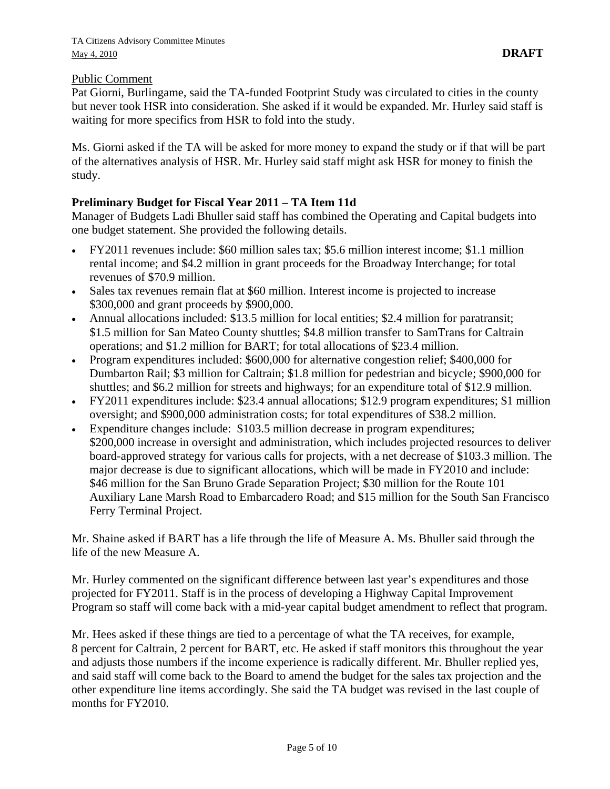### Public Comment

Pat Giorni, Burlingame, said the TA-funded Footprint Study was circulated to cities in the county but never took HSR into consideration. She asked if it would be expanded. Mr. Hurley said staff is waiting for more specifics from HSR to fold into the study.

Ms. Giorni asked if the TA will be asked for more money to expand the study or if that will be part of the alternatives analysis of HSR. Mr. Hurley said staff might ask HSR for money to finish the study.

# **Preliminary Budget for Fiscal Year 2011 – TA Item 11d**

Manager of Budgets Ladi Bhuller said staff has combined the Operating and Capital budgets into one budget statement. She provided the following details.

- FY2011 revenues include: \$60 million sales tax; \$5.6 million interest income; \$1.1 million rental income; and \$4.2 million in grant proceeds for the Broadway Interchange; for total revenues of \$70.9 million.
- Sales tax revenues remain flat at \$60 million. Interest income is projected to increase \$300,000 and grant proceeds by \$900,000.
- Annual allocations included: \$13.5 million for local entities; \$2.4 million for paratransit; \$1.5 million for San Mateo County shuttles; \$4.8 million transfer to SamTrans for Caltrain operations; and \$1.2 million for BART; for total allocations of \$23.4 million.
- Program expenditures included: \$600,000 for alternative congestion relief; \$400,000 for Dumbarton Rail; \$3 million for Caltrain; \$1.8 million for pedestrian and bicycle; \$900,000 for shuttles; and \$6.2 million for streets and highways; for an expenditure total of \$12.9 million.
- FY2011 expenditures include: \$23.4 annual allocations; \$12.9 program expenditures; \$1 million oversight; and \$900,000 administration costs; for total expenditures of \$38.2 million.
- Expenditure changes include: \$103.5 million decrease in program expenditures; \$200,000 increase in oversight and administration, which includes projected resources to deliver board-approved strategy for various calls for projects, with a net decrease of \$103.3 million. The major decrease is due to significant allocations, which will be made in FY2010 and include: \$46 million for the San Bruno Grade Separation Project; \$30 million for the Route 101 Auxiliary Lane Marsh Road to Embarcadero Road; and \$15 million for the South San Francisco Ferry Terminal Project.

Mr. Shaine asked if BART has a life through the life of Measure A. Ms. Bhuller said through the life of the new Measure A.

Mr. Hurley commented on the significant difference between last year's expenditures and those projected for FY2011. Staff is in the process of developing a Highway Capital Improvement Program so staff will come back with a mid-year capital budget amendment to reflect that program.

Mr. Hees asked if these things are tied to a percentage of what the TA receives, for example, 8 percent for Caltrain, 2 percent for BART, etc. He asked if staff monitors this throughout the year and adjusts those numbers if the income experience is radically different. Mr. Bhuller replied yes, and said staff will come back to the Board to amend the budget for the sales tax projection and the other expenditure line items accordingly. She said the TA budget was revised in the last couple of months for FY2010.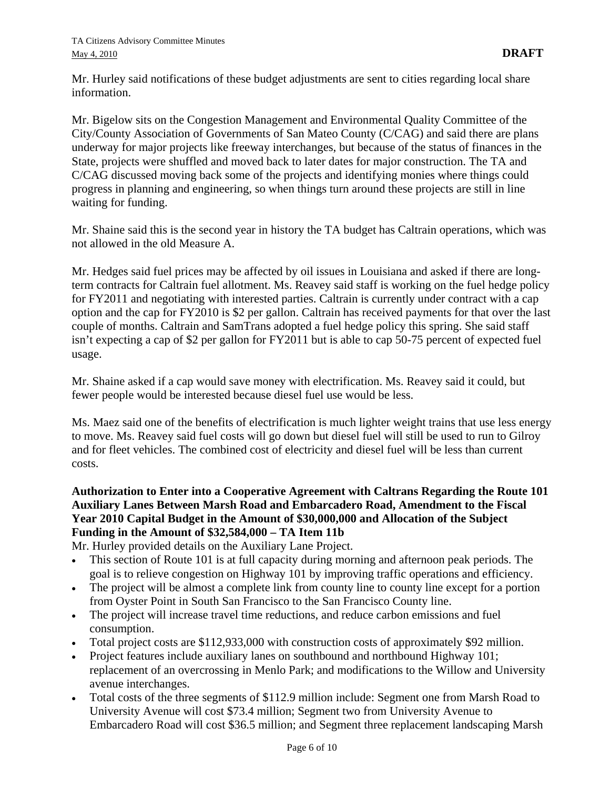Mr. Hurley said notifications of these budget adjustments are sent to cities regarding local share information.

Mr. Bigelow sits on the Congestion Management and Environmental Quality Committee of the City/County Association of Governments of San Mateo County (C/CAG) and said there are plans underway for major projects like freeway interchanges, but because of the status of finances in the State, projects were shuffled and moved back to later dates for major construction. The TA and C/CAG discussed moving back some of the projects and identifying monies where things could progress in planning and engineering, so when things turn around these projects are still in line waiting for funding.

Mr. Shaine said this is the second year in history the TA budget has Caltrain operations, which was not allowed in the old Measure A.

Mr. Hedges said fuel prices may be affected by oil issues in Louisiana and asked if there are longterm contracts for Caltrain fuel allotment. Ms. Reavey said staff is working on the fuel hedge policy for FY2011 and negotiating with interested parties. Caltrain is currently under contract with a cap option and the cap for FY2010 is \$2 per gallon. Caltrain has received payments for that over the last couple of months. Caltrain and SamTrans adopted a fuel hedge policy this spring. She said staff isn't expecting a cap of \$2 per gallon for FY2011 but is able to cap 50-75 percent of expected fuel usage.

Mr. Shaine asked if a cap would save money with electrification. Ms. Reavey said it could, but fewer people would be interested because diesel fuel use would be less.

Ms. Maez said one of the benefits of electrification is much lighter weight trains that use less energy to move. Ms. Reavey said fuel costs will go down but diesel fuel will still be used to run to Gilroy and for fleet vehicles. The combined cost of electricity and diesel fuel will be less than current costs.

## **Authorization to Enter into a Cooperative Agreement with Caltrans Regarding the Route 101 Auxiliary Lanes Between Marsh Road and Embarcadero Road, Amendment to the Fiscal Year 2010 Capital Budget in the Amount of \$30,000,000 and Allocation of the Subject Funding in the Amount of \$32,584,000 – TA Item 11b**

Mr. Hurley provided details on the Auxiliary Lane Project.

- This section of Route 101 is at full capacity during morning and afternoon peak periods. The goal is to relieve congestion on Highway 101 by improving traffic operations and efficiency.
- The project will be almost a complete link from county line to county line except for a portion from Oyster Point in South San Francisco to the San Francisco County line.
- The project will increase travel time reductions, and reduce carbon emissions and fuel consumption.
- Total project costs are \$112,933,000 with construction costs of approximately \$92 million.
- Project features include auxiliary lanes on southbound and northbound Highway 101; replacement of an overcrossing in Menlo Park; and modifications to the Willow and University avenue interchanges.
- Total costs of the three segments of \$112.9 million include: Segment one from Marsh Road to University Avenue will cost \$73.4 million; Segment two from University Avenue to Embarcadero Road will cost \$36.5 million; and Segment three replacement landscaping Marsh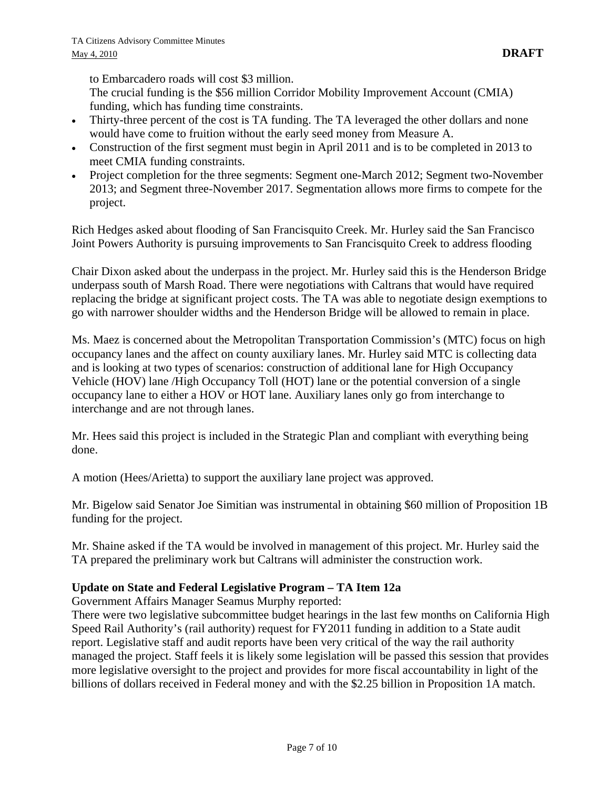to Embarcadero roads will cost \$3 million.

The crucial funding is the \$56 million Corridor Mobility Improvement Account (CMIA) funding, which has funding time constraints.

- Thirty-three percent of the cost is TA funding. The TA leveraged the other dollars and none would have come to fruition without the early seed money from Measure A.
- Construction of the first segment must begin in April 2011 and is to be completed in 2013 to meet CMIA funding constraints.
- Project completion for the three segments: Segment one-March 2012; Segment two-November 2013; and Segment three-November 2017. Segmentation allows more firms to compete for the project.

Rich Hedges asked about flooding of San Francisquito Creek. Mr. Hurley said the San Francisco Joint Powers Authority is pursuing improvements to San Francisquito Creek to address flooding

Chair Dixon asked about the underpass in the project. Mr. Hurley said this is the Henderson Bridge underpass south of Marsh Road. There were negotiations with Caltrans that would have required replacing the bridge at significant project costs. The TA was able to negotiate design exemptions to go with narrower shoulder widths and the Henderson Bridge will be allowed to remain in place.

Ms. Maez is concerned about the Metropolitan Transportation Commission's (MTC) focus on high occupancy lanes and the affect on county auxiliary lanes. Mr. Hurley said MTC is collecting data and is looking at two types of scenarios: construction of additional lane for High Occupancy Vehicle (HOV) lane /High Occupancy Toll (HOT) lane or the potential conversion of a single occupancy lane to either a HOV or HOT lane. Auxiliary lanes only go from interchange to interchange and are not through lanes.

Mr. Hees said this project is included in the Strategic Plan and compliant with everything being done.

A motion (Hees/Arietta) to support the auxiliary lane project was approved.

Mr. Bigelow said Senator Joe Simitian was instrumental in obtaining \$60 million of Proposition 1B funding for the project.

Mr. Shaine asked if the TA would be involved in management of this project. Mr. Hurley said the TA prepared the preliminary work but Caltrans will administer the construction work.

#### **Update on State and Federal Legislative Program – TA Item 12a**

Government Affairs Manager Seamus Murphy reported:

There were two legislative subcommittee budget hearings in the last few months on California High Speed Rail Authority's (rail authority) request for FY2011 funding in addition to a State audit report. Legislative staff and audit reports have been very critical of the way the rail authority managed the project. Staff feels it is likely some legislation will be passed this session that provides more legislative oversight to the project and provides for more fiscal accountability in light of the billions of dollars received in Federal money and with the \$2.25 billion in Proposition 1A match.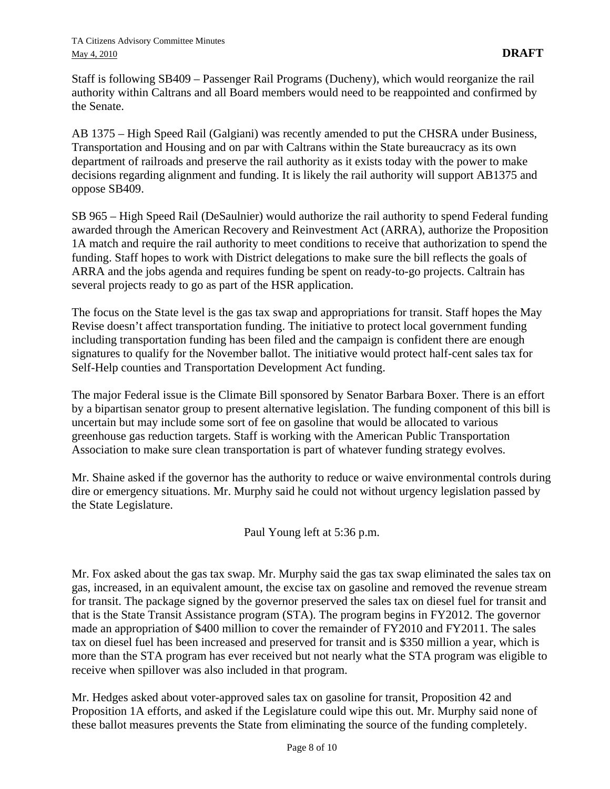Staff is following SB409 – Passenger Rail Programs (Ducheny), which would reorganize the rail authority within Caltrans and all Board members would need to be reappointed and confirmed by the Senate.

AB 1375 – High Speed Rail (Galgiani) was recently amended to put the CHSRA under Business, Transportation and Housing and on par with Caltrans within the State bureaucracy as its own department of railroads and preserve the rail authority as it exists today with the power to make decisions regarding alignment and funding. It is likely the rail authority will support AB1375 and oppose SB409.

SB 965 – High Speed Rail (DeSaulnier) would authorize the rail authority to spend Federal funding awarded through the American Recovery and Reinvestment Act (ARRA), authorize the Proposition 1A match and require the rail authority to meet conditions to receive that authorization to spend the funding. Staff hopes to work with District delegations to make sure the bill reflects the goals of ARRA and the jobs agenda and requires funding be spent on ready-to-go projects. Caltrain has several projects ready to go as part of the HSR application.

The focus on the State level is the gas tax swap and appropriations for transit. Staff hopes the May Revise doesn't affect transportation funding. The initiative to protect local government funding including transportation funding has been filed and the campaign is confident there are enough signatures to qualify for the November ballot. The initiative would protect half-cent sales tax for Self-Help counties and Transportation Development Act funding.

The major Federal issue is the Climate Bill sponsored by Senator Barbara Boxer. There is an effort by a bipartisan senator group to present alternative legislation. The funding component of this bill is uncertain but may include some sort of fee on gasoline that would be allocated to various greenhouse gas reduction targets. Staff is working with the American Public Transportation Association to make sure clean transportation is part of whatever funding strategy evolves.

Mr. Shaine asked if the governor has the authority to reduce or waive environmental controls during dire or emergency situations. Mr. Murphy said he could not without urgency legislation passed by the State Legislature.

Paul Young left at 5:36 p.m.

Mr. Fox asked about the gas tax swap. Mr. Murphy said the gas tax swap eliminated the sales tax on gas, increased, in an equivalent amount, the excise tax on gasoline and removed the revenue stream for transit. The package signed by the governor preserved the sales tax on diesel fuel for transit and that is the State Transit Assistance program (STA). The program begins in FY2012. The governor made an appropriation of \$400 million to cover the remainder of FY2010 and FY2011. The sales tax on diesel fuel has been increased and preserved for transit and is \$350 million a year, which is more than the STA program has ever received but not nearly what the STA program was eligible to receive when spillover was also included in that program.

Mr. Hedges asked about voter-approved sales tax on gasoline for transit, Proposition 42 and Proposition 1A efforts, and asked if the Legislature could wipe this out. Mr. Murphy said none of these ballot measures prevents the State from eliminating the source of the funding completely.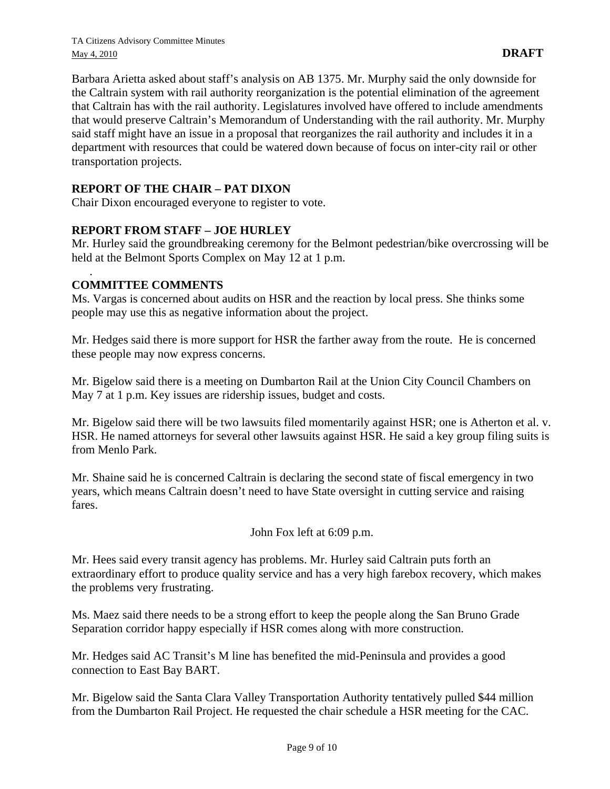Barbara Arietta asked about staff's analysis on AB 1375. Mr. Murphy said the only downside for the Caltrain system with rail authority reorganization is the potential elimination of the agreement that Caltrain has with the rail authority. Legislatures involved have offered to include amendments that would preserve Caltrain's Memorandum of Understanding with the rail authority. Mr. Murphy said staff might have an issue in a proposal that reorganizes the rail authority and includes it in a department with resources that could be watered down because of focus on inter-city rail or other transportation projects.

## **REPORT OF THE CHAIR – PAT DIXON**

Chair Dixon encouraged everyone to register to vote.

# **REPORT FROM STAFF – JOE HURLEY**

Mr. Hurley said the groundbreaking ceremony for the Belmont pedestrian/bike overcrossing will be held at the Belmont Sports Complex on May 12 at 1 p.m.

## **COMMITTEE COMMENTS**

.

Ms. Vargas is concerned about audits on HSR and the reaction by local press. She thinks some people may use this as negative information about the project.

Mr. Hedges said there is more support for HSR the farther away from the route. He is concerned these people may now express concerns.

Mr. Bigelow said there is a meeting on Dumbarton Rail at the Union City Council Chambers on May 7 at 1 p.m. Key issues are ridership issues, budget and costs.

Mr. Bigelow said there will be two lawsuits filed momentarily against HSR; one is Atherton et al. v. HSR. He named attorneys for several other lawsuits against HSR. He said a key group filing suits is from Menlo Park.

Mr. Shaine said he is concerned Caltrain is declaring the second state of fiscal emergency in two years, which means Caltrain doesn't need to have State oversight in cutting service and raising fares.

John Fox left at 6:09 p.m.

Mr. Hees said every transit agency has problems. Mr. Hurley said Caltrain puts forth an extraordinary effort to produce quality service and has a very high farebox recovery, which makes the problems very frustrating.

Ms. Maez said there needs to be a strong effort to keep the people along the San Bruno Grade Separation corridor happy especially if HSR comes along with more construction.

Mr. Hedges said AC Transit's M line has benefited the mid-Peninsula and provides a good connection to East Bay BART.

Mr. Bigelow said the Santa Clara Valley Transportation Authority tentatively pulled \$44 million from the Dumbarton Rail Project. He requested the chair schedule a HSR meeting for the CAC.